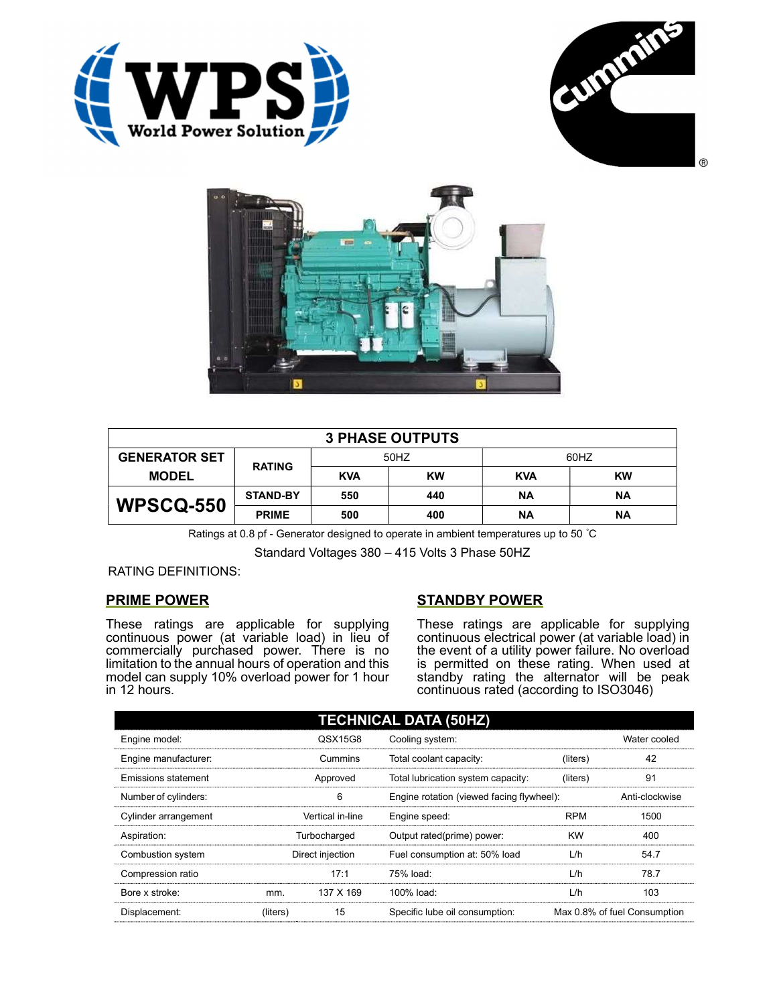





| <b>3 PHASE OUTPUTS</b> |                 |            |           |            |           |  |
|------------------------|-----------------|------------|-----------|------------|-----------|--|
| <b>GENERATOR SET</b>   | <b>RATING</b>   | 50HZ       |           | 60HZ       |           |  |
| <b>MODEL</b>           |                 | <b>KVA</b> | <b>KW</b> | <b>KVA</b> | <b>KW</b> |  |
| <b>WPSCQ-550</b>       | <b>STAND-BY</b> | 550        | 440       | ΝA         | ΝA        |  |
|                        | <b>PRIME</b>    | 500        | 400       | ΝA         | <b>NA</b> |  |

Ratings at 0.8 pf - Generator designed to operate in ambient temperatures up to 50 °C

Standard Voltages 380 – 415 Volts 3 Phase 50HZ

RATING DEFINITIONS:

## PRIME POWER

These ratings are applicable for supplying continuous power (at variable load) in lieu of commercially purchased power. There is no limitation to the annual hours of operation and this model can supply 10% overload power for 1 hour in 12 hours.

## STANDBY POWER

These ratings are applicable for supplying continuous electrical power (at variable load) in the event of a utility power failure. No overload is permitted on these rating. When used at standby rating the alternator will be peak continuous rated (according to ISO3046)

| <b>TECHNICAL DATA (50HZ)</b> |                  |           |                                           |            |                              |  |
|------------------------------|------------------|-----------|-------------------------------------------|------------|------------------------------|--|
| Engine model:                |                  | QSX15G8   | Cooling system:                           |            | Water cooled                 |  |
| Engine manufacturer:         | Cummins          |           | Total coolant capacity:                   | (liters)   | 42                           |  |
| Emissions statement          | Approved         |           | Total lubrication system capacity:        | (liters)   | 91                           |  |
| Number of cylinders:         | 6                |           | Engine rotation (viewed facing flywheel): |            | Anti-clockwise               |  |
| Cylinder arrangement         | Vertical in-line |           | Engine speed:                             | <b>RPM</b> | 1500                         |  |
| Aspiration:                  | Turbocharged     |           | Output rated(prime) power:                | <b>KW</b>  | 400                          |  |
| Combustion system            | Direct injection |           | Fuel consumption at: 50% load             | L/h        | 54.7                         |  |
| Compression ratio            |                  | 17:1      | 75% load:                                 | L/h        | 78.7                         |  |
| Bore x stroke:               | mm.              | 137 X 169 | 100% load:                                | L/h        | 103                          |  |
| Displacement:                | (liters)         | 15        | Specific lube oil consumption:            |            | Max 0.8% of fuel Consumption |  |